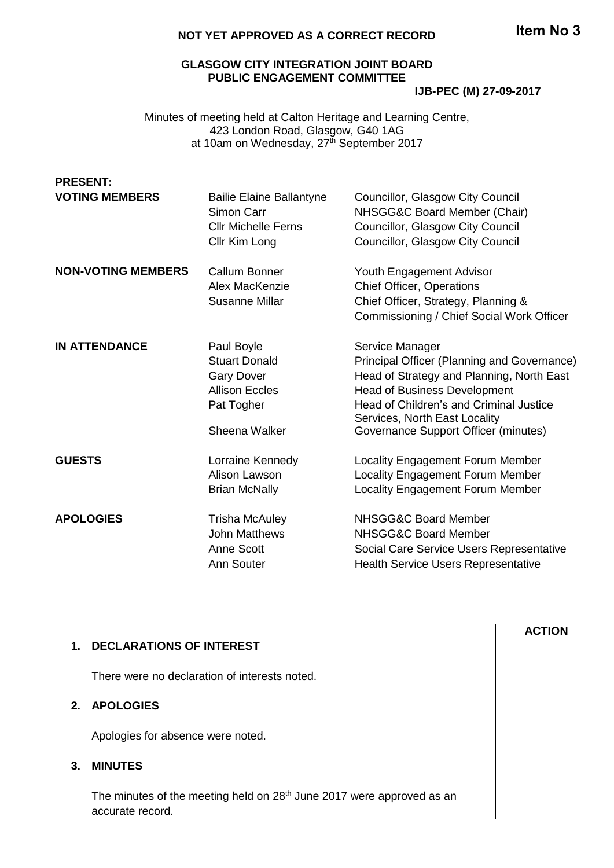## **NOT YET APPROVED AS A CORRECT RECORD**

# **GLASGOW CITY INTEGRATION JOINT BOARD PUBLIC ENGAGEMENT COMMITTEE**

**IJB-PEC (M) 27-09-2017**

Minutes of meeting held at Calton Heritage and Learning Centre, 423 London Road, Glasgow, G40 1AG at 10am on Wednesday, 27<sup>th</sup> September 2017

| <b>PRESENT:</b>           |                                 |                                                                       |
|---------------------------|---------------------------------|-----------------------------------------------------------------------|
| <b>VOTING MEMBERS</b>     | <b>Bailie Elaine Ballantyne</b> | Councillor, Glasgow City Council                                      |
|                           | Simon Carr                      | NHSGG&C Board Member (Chair)                                          |
|                           | <b>CIIr Michelle Ferns</b>      | Councillor, Glasgow City Council                                      |
|                           | Cllr Kim Long                   | Councillor, Glasgow City Council                                      |
| <b>NON-VOTING MEMBERS</b> | Callum Bonner                   | Youth Engagement Advisor                                              |
|                           | Alex MacKenzie                  | <b>Chief Officer, Operations</b>                                      |
|                           | <b>Susanne Millar</b>           | Chief Officer, Strategy, Planning &                                   |
|                           |                                 | Commissioning / Chief Social Work Officer                             |
| <b>IN ATTENDANCE</b>      | Paul Boyle                      | Service Manager                                                       |
|                           | <b>Stuart Donald</b>            | Principal Officer (Planning and Governance)                           |
|                           | <b>Gary Dover</b>               | Head of Strategy and Planning, North East                             |
|                           | <b>Allison Eccles</b>           | <b>Head of Business Development</b>                                   |
|                           | Pat Togher                      | Head of Children's and Criminal Justice                               |
|                           | Sheena Walker                   | Services, North East Locality<br>Governance Support Officer (minutes) |
|                           |                                 |                                                                       |
| <b>GUESTS</b>             | Lorraine Kennedy                | Locality Engagement Forum Member                                      |
|                           | Alison Lawson                   | Locality Engagement Forum Member                                      |
|                           | <b>Brian McNally</b>            | Locality Engagement Forum Member                                      |
| <b>APOLOGIES</b>          | <b>Trisha McAuley</b>           | NHSGG&C Board Member                                                  |
|                           | <b>John Matthews</b>            | NHSGG&C Board Member                                                  |
|                           | <b>Anne Scott</b>               | Social Care Service Users Representative                              |
|                           | <b>Ann Souter</b>               | <b>Health Service Users Representative</b>                            |

### **1. DECLARATIONS OF INTEREST**

There were no declaration of interests noted.

# **2. APOLOGIES**

Apologies for absence were noted.

## **3. MINUTES**

The minutes of the meeting held on 28<sup>th</sup> June 2017 were approved as an accurate record.

# **ACTION**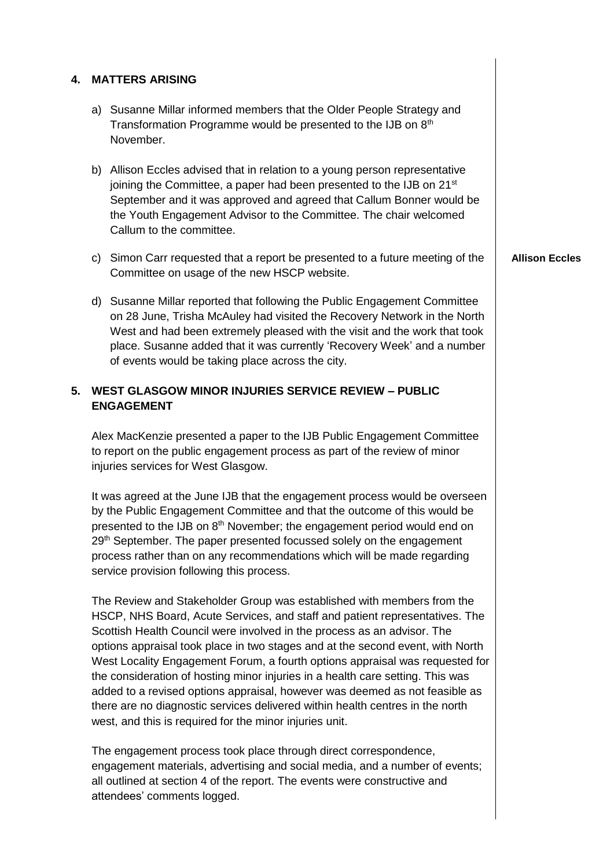| 4.                                                                                    |                                                                                                                                                                                             | <b>MATTERS ARISING</b>                                                                                                                                                                                                                                                                                                                                                                                                                                                                                                                                                                                                                                                                                          |                       |
|---------------------------------------------------------------------------------------|---------------------------------------------------------------------------------------------------------------------------------------------------------------------------------------------|-----------------------------------------------------------------------------------------------------------------------------------------------------------------------------------------------------------------------------------------------------------------------------------------------------------------------------------------------------------------------------------------------------------------------------------------------------------------------------------------------------------------------------------------------------------------------------------------------------------------------------------------------------------------------------------------------------------------|-----------------------|
|                                                                                       |                                                                                                                                                                                             | a) Susanne Millar informed members that the Older People Strategy and<br>Transformation Programme would be presented to the IJB on 8th<br>November.                                                                                                                                                                                                                                                                                                                                                                                                                                                                                                                                                             |                       |
|                                                                                       |                                                                                                                                                                                             | b) Allison Eccles advised that in relation to a young person representative<br>joining the Committee, a paper had been presented to the IJB on 21 <sup>st</sup><br>September and it was approved and agreed that Callum Bonner would be<br>the Youth Engagement Advisor to the Committee. The chair welcomed<br>Callum to the committee.                                                                                                                                                                                                                                                                                                                                                                        |                       |
|                                                                                       | C)                                                                                                                                                                                          | Simon Carr requested that a report be presented to a future meeting of the<br>Committee on usage of the new HSCP website.                                                                                                                                                                                                                                                                                                                                                                                                                                                                                                                                                                                       | <b>Allison Eccles</b> |
|                                                                                       |                                                                                                                                                                                             | d) Susanne Millar reported that following the Public Engagement Committee<br>on 28 June, Trisha McAuley had visited the Recovery Network in the North<br>West and had been extremely pleased with the visit and the work that took<br>place. Susanne added that it was currently 'Recovery Week' and a number<br>of events would be taking place across the city.                                                                                                                                                                                                                                                                                                                                               |                       |
| <b>WEST GLASGOW MINOR INJURIES SERVICE REVIEW - PUBLIC</b><br>5.<br><b>ENGAGEMENT</b> |                                                                                                                                                                                             |                                                                                                                                                                                                                                                                                                                                                                                                                                                                                                                                                                                                                                                                                                                 |                       |
|                                                                                       | Alex MacKenzie presented a paper to the IJB Public Engagement Committee<br>to report on the public engagement process as part of the review of minor<br>injuries services for West Glasgow. |                                                                                                                                                                                                                                                                                                                                                                                                                                                                                                                                                                                                                                                                                                                 |                       |
|                                                                                       |                                                                                                                                                                                             | It was agreed at the June IJB that the engagement process would be overseen<br>by the Public Engagement Committee and that the outcome of this would be<br>presented to the IJB on 8 <sup>th</sup> November; the engagement period would end on<br>29th September. The paper presented focussed solely on the engagement<br>process rather than on any recommendations which will be made regarding<br>service provision following this process.                                                                                                                                                                                                                                                                |                       |
|                                                                                       |                                                                                                                                                                                             | The Review and Stakeholder Group was established with members from the<br>HSCP, NHS Board, Acute Services, and staff and patient representatives. The<br>Scottish Health Council were involved in the process as an advisor. The<br>options appraisal took place in two stages and at the second event, with North<br>West Locality Engagement Forum, a fourth options appraisal was requested for<br>the consideration of hosting minor injuries in a health care setting. This was<br>added to a revised options appraisal, however was deemed as not feasible as<br>there are no diagnostic services delivered within health centres in the north<br>west, and this is required for the minor injuries unit. |                       |
|                                                                                       |                                                                                                                                                                                             | The engagement process took place through direct correspondence,<br>engagement materials, advertising and social media, and a number of events;<br>all outlined at section 4 of the report. The events were constructive and<br>attendees' comments logged.                                                                                                                                                                                                                                                                                                                                                                                                                                                     |                       |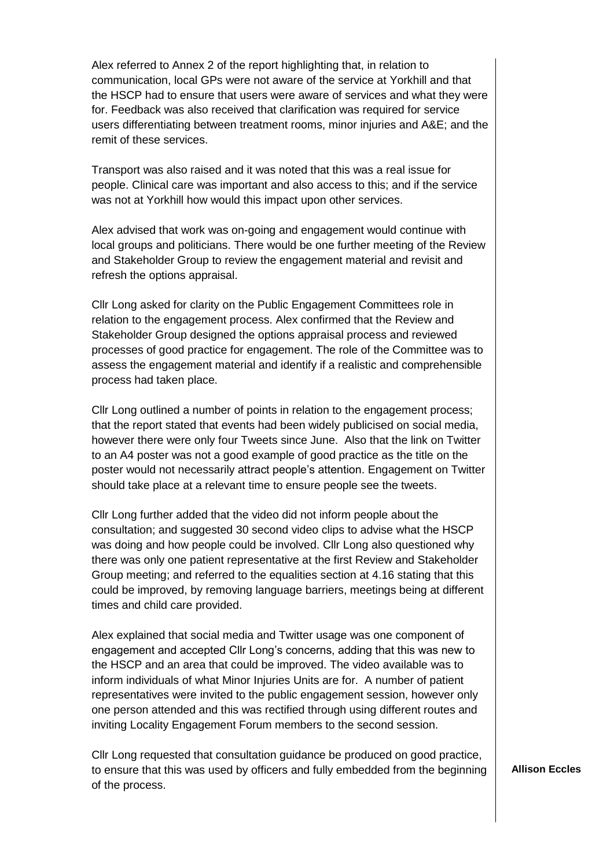Alex referred to Annex 2 of the report highlighting that, in relation to communication, local GPs were not aware of the service at Yorkhill and that the HSCP had to ensure that users were aware of services and what they were for. Feedback was also received that clarification was required for service users differentiating between treatment rooms, minor injuries and A&E; and the remit of these services.

Transport was also raised and it was noted that this was a real issue for people. Clinical care was important and also access to this; and if the service was not at Yorkhill how would this impact upon other services.

Alex advised that work was on-going and engagement would continue with local groups and politicians. There would be one further meeting of the Review and Stakeholder Group to review the engagement material and revisit and refresh the options appraisal.

Cllr Long asked for clarity on the Public Engagement Committees role in relation to the engagement process. Alex confirmed that the Review and Stakeholder Group designed the options appraisal process and reviewed processes of good practice for engagement. The role of the Committee was to assess the engagement material and identify if a realistic and comprehensible process had taken place.

Cllr Long outlined a number of points in relation to the engagement process; that the report stated that events had been widely publicised on social media, however there were only four Tweets since June. Also that the link on Twitter to an A4 poster was not a good example of good practice as the title on the poster would not necessarily attract people's attention. Engagement on Twitter should take place at a relevant time to ensure people see the tweets.

Cllr Long further added that the video did not inform people about the consultation; and suggested 30 second video clips to advise what the HSCP was doing and how people could be involved. Cllr Long also questioned why there was only one patient representative at the first Review and Stakeholder Group meeting; and referred to the equalities section at 4.16 stating that this could be improved, by removing language barriers, meetings being at different times and child care provided.

Alex explained that social media and Twitter usage was one component of engagement and accepted Cllr Long's concerns, adding that this was new to the HSCP and an area that could be improved. The video available was to inform individuals of what Minor Injuries Units are for. A number of patient representatives were invited to the public engagement session, however only one person attended and this was rectified through using different routes and inviting Locality Engagement Forum members to the second session.

Cllr Long requested that consultation guidance be produced on good practice, to ensure that this was used by officers and fully embedded from the beginning of the process.

**Allison Eccles**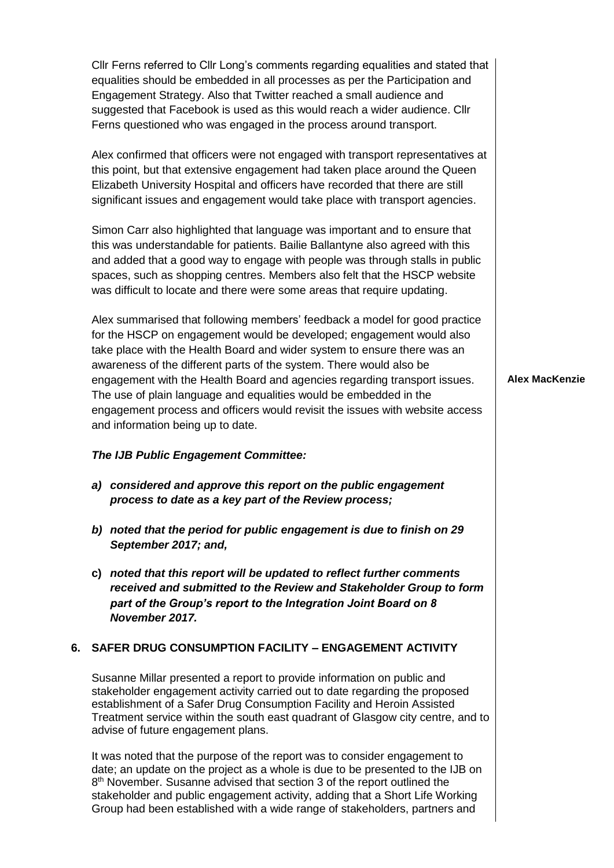Cllr Ferns referred to Cllr Long's comments regarding equalities and stated that equalities should be embedded in all processes as per the Participation and Engagement Strategy. Also that Twitter reached a small audience and suggested that Facebook is used as this would reach a wider audience. Cllr Ferns questioned who was engaged in the process around transport. Alex confirmed that officers were not engaged with transport representatives at this point, but that extensive engagement had taken place around the Queen Elizabeth University Hospital and officers have recorded that there are still significant issues and engagement would take place with transport agencies. Simon Carr also highlighted that language was important and to ensure that this was understandable for patients. Bailie Ballantyne also agreed with this and added that a good way to engage with people was through stalls in public spaces, such as shopping centres. Members also felt that the HSCP website was difficult to locate and there were some areas that require updating. Alex summarised that following members' feedback a model for good practice for the HSCP on engagement would be developed; engagement would also take place with the Health Board and wider system to ensure there was an awareness of the different parts of the system. There would also be engagement with the Health Board and agencies regarding transport issues. The use of plain language and equalities would be embedded in the engagement process and officers would revisit the issues with website access and information being up to date. *The IJB Public Engagement Committee: a) considered and approve this report on the public engagement process to date as a key part of the Review process; b) noted that the period for public engagement is due to finish on 29 September 2017; and,* **Alex MacKenzie**

**c)** *noted that this report will be updated to reflect further comments received and submitted to the Review and Stakeholder Group to form part of the Group's report to the Integration Joint Board on 8 November 2017.*

### **6. SAFER DRUG CONSUMPTION FACILITY – ENGAGEMENT ACTIVITY**

Susanne Millar presented a report to provide information on public and stakeholder engagement activity carried out to date regarding the proposed establishment of a Safer Drug Consumption Facility and Heroin Assisted Treatment service within the south east quadrant of Glasgow city centre, and to advise of future engagement plans.

It was noted that the purpose of the report was to consider engagement to date; an update on the project as a whole is due to be presented to the IJB on 8<sup>th</sup> November. Susanne advised that section 3 of the report outlined the stakeholder and public engagement activity, adding that a Short Life Working Group had been established with a wide range of stakeholders, partners and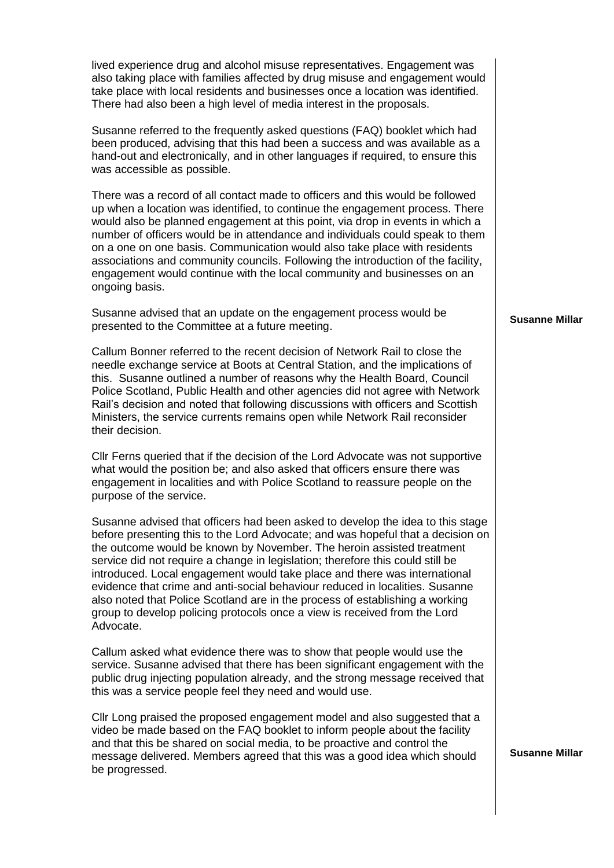lived experience drug and alcohol misuse representatives. Engagement was also taking place with families affected by drug misuse and engagement would take place with local residents and businesses once a location was identified. There had also been a high level of media interest in the proposals.

Susanne referred to the frequently asked questions (FAQ) booklet which had been produced, advising that this had been a success and was available as a hand-out and electronically, and in other languages if required, to ensure this was accessible as possible.

There was a record of all contact made to officers and this would be followed up when a location was identified, to continue the engagement process. There would also be planned engagement at this point, via drop in events in which a number of officers would be in attendance and individuals could speak to them on a one on one basis. Communication would also take place with residents associations and community councils. Following the introduction of the facility, engagement would continue with the local community and businesses on an ongoing basis.

Susanne advised that an update on the engagement process would be presented to the Committee at a future meeting.

Callum Bonner referred to the recent decision of Network Rail to close the needle exchange service at Boots at Central Station, and the implications of this. Susanne outlined a number of reasons why the Health Board, Council Police Scotland, Public Health and other agencies did not agree with Network Rail's decision and noted that following discussions with officers and Scottish Ministers, the service currents remains open while Network Rail reconsider their decision.

Cllr Ferns queried that if the decision of the Lord Advocate was not supportive what would the position be; and also asked that officers ensure there was engagement in localities and with Police Scotland to reassure people on the purpose of the service.

Susanne advised that officers had been asked to develop the idea to this stage before presenting this to the Lord Advocate; and was hopeful that a decision on the outcome would be known by November. The heroin assisted treatment service did not require a change in legislation; therefore this could still be introduced. Local engagement would take place and there was international evidence that crime and anti-social behaviour reduced in localities. Susanne also noted that Police Scotland are in the process of establishing a working group to develop policing protocols once a view is received from the Lord Advocate.

Callum asked what evidence there was to show that people would use the service. Susanne advised that there has been significant engagement with the public drug injecting population already, and the strong message received that this was a service people feel they need and would use.

Cllr Long praised the proposed engagement model and also suggested that a video be made based on the FAQ booklet to inform people about the facility and that this be shared on social media, to be proactive and control the message delivered. Members agreed that this was a good idea which should be progressed.

#### **Susanne Millar**

**Susanne Millar**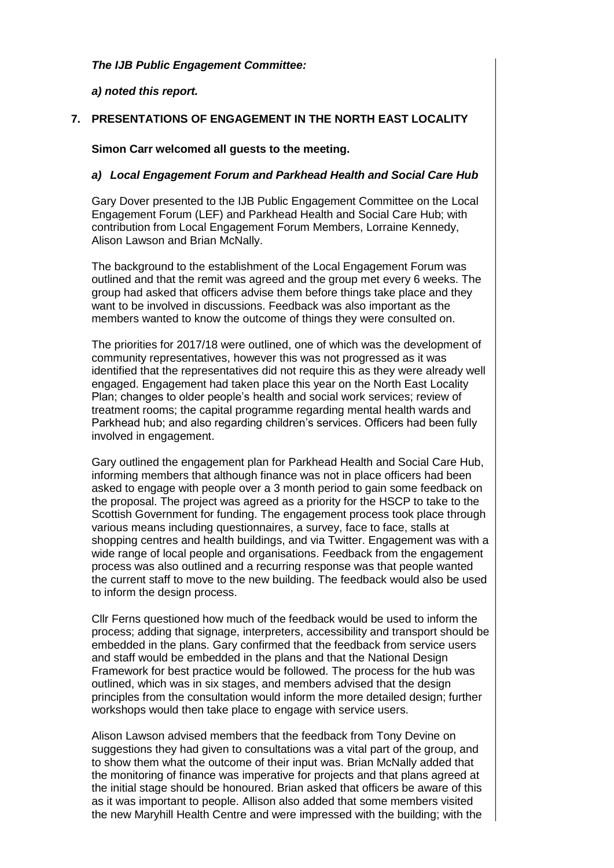### *The IJB Public Engagement Committee:*

*a) noted this report.*

## **7. PRESENTATIONS OF ENGAGEMENT IN THE NORTH EAST LOCALITY**

### **Simon Carr welcomed all guests to the meeting.**

### *a) Local Engagement Forum and Parkhead Health and Social Care Hub*

Gary Dover presented to the IJB Public Engagement Committee on the Local Engagement Forum (LEF) and Parkhead Health and Social Care Hub; with contribution from Local Engagement Forum Members, Lorraine Kennedy, Alison Lawson and Brian McNally.

The background to the establishment of the Local Engagement Forum was outlined and that the remit was agreed and the group met every 6 weeks. The group had asked that officers advise them before things take place and they want to be involved in discussions. Feedback was also important as the members wanted to know the outcome of things they were consulted on.

The priorities for 2017/18 were outlined, one of which was the development of community representatives, however this was not progressed as it was identified that the representatives did not require this as they were already well engaged. Engagement had taken place this year on the North East Locality Plan; changes to older people's health and social work services; review of treatment rooms; the capital programme regarding mental health wards and Parkhead hub; and also regarding children's services. Officers had been fully involved in engagement.

Gary outlined the engagement plan for Parkhead Health and Social Care Hub, informing members that although finance was not in place officers had been asked to engage with people over a 3 month period to gain some feedback on the proposal. The project was agreed as a priority for the HSCP to take to the Scottish Government for funding. The engagement process took place through various means including questionnaires, a survey, face to face, stalls at shopping centres and health buildings, and via Twitter. Engagement was with a wide range of local people and organisations. Feedback from the engagement process was also outlined and a recurring response was that people wanted the current staff to move to the new building. The feedback would also be used to inform the design process.

Cllr Ferns questioned how much of the feedback would be used to inform the process; adding that signage, interpreters, accessibility and transport should be embedded in the plans. Gary confirmed that the feedback from service users and staff would be embedded in the plans and that the National Design Framework for best practice would be followed. The process for the hub was outlined, which was in six stages, and members advised that the design principles from the consultation would inform the more detailed design; further workshops would then take place to engage with service users.

Alison Lawson advised members that the feedback from Tony Devine on suggestions they had given to consultations was a vital part of the group, and to show them what the outcome of their input was. Brian McNally added that the monitoring of finance was imperative for projects and that plans agreed at the initial stage should be honoured. Brian asked that officers be aware of this as it was important to people. Allison also added that some members visited the new Maryhill Health Centre and were impressed with the building; with the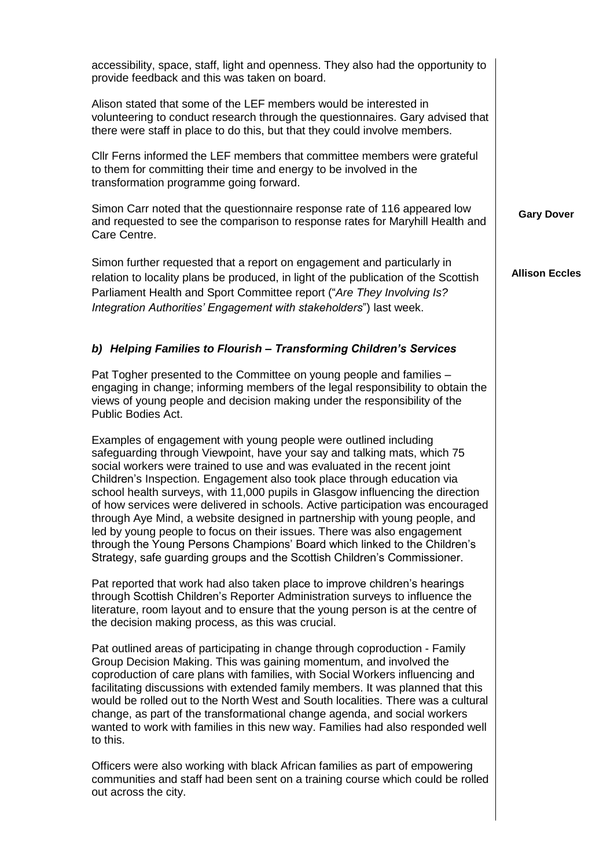| accessibility, space, staff, light and openness. They also had the opportunity to<br>provide feedback and this was taken on board.                                                                                                                                                                                                                                                                                                                                                                                                                                                                                                                                                                                                                                                        |                       |
|-------------------------------------------------------------------------------------------------------------------------------------------------------------------------------------------------------------------------------------------------------------------------------------------------------------------------------------------------------------------------------------------------------------------------------------------------------------------------------------------------------------------------------------------------------------------------------------------------------------------------------------------------------------------------------------------------------------------------------------------------------------------------------------------|-----------------------|
| Alison stated that some of the LEF members would be interested in<br>volunteering to conduct research through the questionnaires. Gary advised that<br>there were staff in place to do this, but that they could involve members.                                                                                                                                                                                                                                                                                                                                                                                                                                                                                                                                                         |                       |
| Cllr Ferns informed the LEF members that committee members were grateful<br>to them for committing their time and energy to be involved in the<br>transformation programme going forward.                                                                                                                                                                                                                                                                                                                                                                                                                                                                                                                                                                                                 |                       |
| Simon Carr noted that the questionnaire response rate of 116 appeared low<br>and requested to see the comparison to response rates for Maryhill Health and<br>Care Centre.                                                                                                                                                                                                                                                                                                                                                                                                                                                                                                                                                                                                                | <b>Gary Dover</b>     |
| Simon further requested that a report on engagement and particularly in<br>relation to locality plans be produced, in light of the publication of the Scottish<br>Parliament Health and Sport Committee report ("Are They Involving Is?<br>Integration Authorities' Engagement with stakeholders") last week.                                                                                                                                                                                                                                                                                                                                                                                                                                                                             | <b>Allison Eccles</b> |
| b) Helping Families to Flourish - Transforming Children's Services                                                                                                                                                                                                                                                                                                                                                                                                                                                                                                                                                                                                                                                                                                                        |                       |
| Pat Togher presented to the Committee on young people and families -<br>engaging in change; informing members of the legal responsibility to obtain the<br>views of young people and decision making under the responsibility of the<br>Public Bodies Act.                                                                                                                                                                                                                                                                                                                                                                                                                                                                                                                                |                       |
| Examples of engagement with young people were outlined including<br>safeguarding through Viewpoint, have your say and talking mats, which 75<br>social workers were trained to use and was evaluated in the recent joint<br>Children's Inspection. Engagement also took place through education via<br>school health surveys, with 11,000 pupils in Glasgow influencing the direction<br>of how services were delivered in schools. Active participation was encouraged<br>through Aye Mind, a website designed in partnership with young people, and<br>led by young people to focus on their issues. There was also engagement<br>through the Young Persons Champions' Board which linked to the Children's<br>Strategy, safe guarding groups and the Scottish Children's Commissioner. |                       |
| Pat reported that work had also taken place to improve children's hearings<br>through Scottish Children's Reporter Administration surveys to influence the<br>literature, room layout and to ensure that the young person is at the centre of<br>the decision making process, as this was crucial.                                                                                                                                                                                                                                                                                                                                                                                                                                                                                        |                       |
| Pat outlined areas of participating in change through coproduction - Family<br>Group Decision Making. This was gaining momentum, and involved the<br>coproduction of care plans with families, with Social Workers influencing and<br>facilitating discussions with extended family members. It was planned that this<br>would be rolled out to the North West and South localities. There was a cultural<br>change, as part of the transformational change agenda, and social workers<br>wanted to work with families in this new way. Families had also responded well<br>to this.                                                                                                                                                                                                      |                       |
| Officers were also working with black African families as part of empowering<br>communities and staff had been sent on a training course which could be rolled<br>out across the city.                                                                                                                                                                                                                                                                                                                                                                                                                                                                                                                                                                                                    |                       |
|                                                                                                                                                                                                                                                                                                                                                                                                                                                                                                                                                                                                                                                                                                                                                                                           |                       |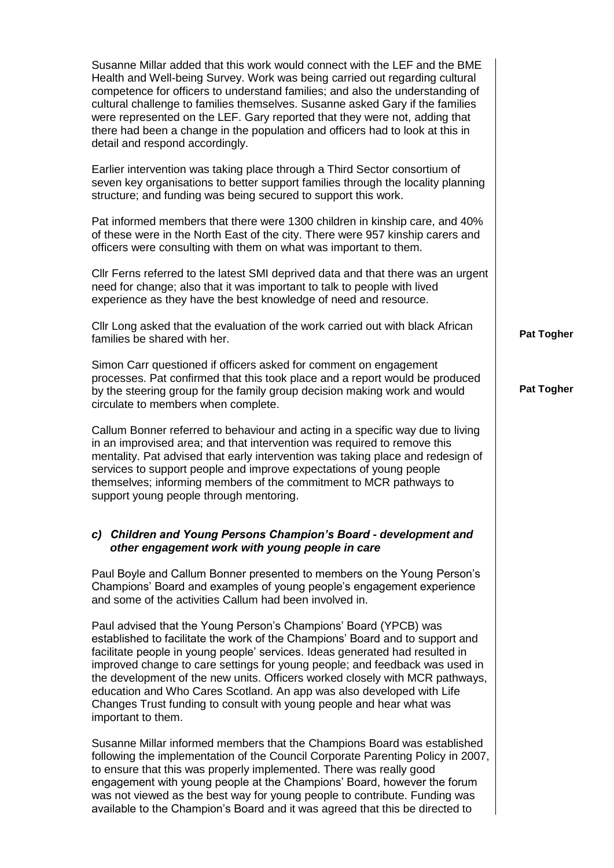| Susanne Millar added that this work would connect with the LEF and the BME<br>Health and Well-being Survey. Work was being carried out regarding cultural<br>competence for officers to understand families; and also the understanding of<br>cultural challenge to families themselves. Susanne asked Gary if the families<br>were represented on the LEF. Gary reported that they were not, adding that<br>there had been a change in the population and officers had to look at this in<br>detail and respond accordingly.                                           |                   |
|-------------------------------------------------------------------------------------------------------------------------------------------------------------------------------------------------------------------------------------------------------------------------------------------------------------------------------------------------------------------------------------------------------------------------------------------------------------------------------------------------------------------------------------------------------------------------|-------------------|
| Earlier intervention was taking place through a Third Sector consortium of<br>seven key organisations to better support families through the locality planning<br>structure; and funding was being secured to support this work.                                                                                                                                                                                                                                                                                                                                        |                   |
| Pat informed members that there were 1300 children in kinship care, and 40%<br>of these were in the North East of the city. There were 957 kinship carers and<br>officers were consulting with them on what was important to them.                                                                                                                                                                                                                                                                                                                                      |                   |
| CIIr Ferns referred to the latest SMI deprived data and that there was an urgent<br>need for change; also that it was important to talk to people with lived<br>experience as they have the best knowledge of need and resource.                                                                                                                                                                                                                                                                                                                                        |                   |
| Cllr Long asked that the evaluation of the work carried out with black African<br>families be shared with her.                                                                                                                                                                                                                                                                                                                                                                                                                                                          | Pat Togher        |
| Simon Carr questioned if officers asked for comment on engagement<br>processes. Pat confirmed that this took place and a report would be produced<br>by the steering group for the family group decision making work and would<br>circulate to members when complete.                                                                                                                                                                                                                                                                                                   | <b>Pat Togher</b> |
| Callum Bonner referred to behaviour and acting in a specific way due to living<br>in an improvised area; and that intervention was required to remove this<br>mentality. Pat advised that early intervention was taking place and redesign of<br>services to support people and improve expectations of young people<br>themselves; informing members of the commitment to MCR pathways to<br>support young people through mentoring.                                                                                                                                   |                   |
| c) Children and Young Persons Champion's Board - development and<br>other engagement work with young people in care                                                                                                                                                                                                                                                                                                                                                                                                                                                     |                   |
| Paul Boyle and Callum Bonner presented to members on the Young Person's<br>Champions' Board and examples of young people's engagement experience<br>and some of the activities Callum had been involved in.                                                                                                                                                                                                                                                                                                                                                             |                   |
| Paul advised that the Young Person's Champions' Board (YPCB) was<br>established to facilitate the work of the Champions' Board and to support and<br>facilitate people in young people' services. Ideas generated had resulted in<br>improved change to care settings for young people; and feedback was used in<br>the development of the new units. Officers worked closely with MCR pathways,<br>education and Who Cares Scotland. An app was also developed with Life<br>Changes Trust funding to consult with young people and hear what was<br>important to them. |                   |
| Susanne Millar informed members that the Champions Board was established<br>following the implementation of the Council Corporate Parenting Policy in 2007,<br>to ensure that this was properly implemented. There was really good<br>engagement with young people at the Champions' Board, however the forum<br>was not viewed as the best way for young people to contribute. Funding was<br>available to the Champion's Board and it was agreed that this be directed to                                                                                             |                   |